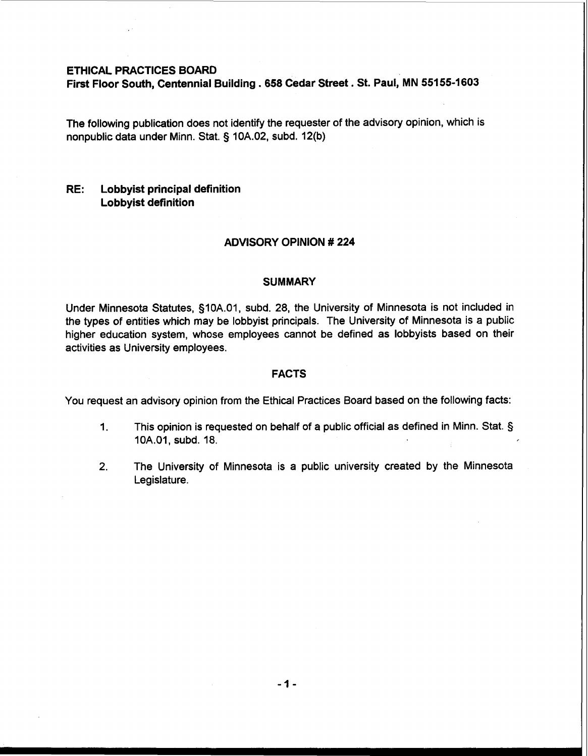# **ETHICAL PRACTICES BOARD**

**First Floor South, Centennial Building** . **658 Cedar Street. St. Paul, MN 55155-1603** 

The following publication does not identify the requester of the advisory opinion, which is nonpublic data under Minn. Stat. § 10A.02, subd. 12(b)

# **RE: Lobbyist principal definition Lobbyist definition**

## **ADVISORY OPINION** # **224**

#### **SUMMARY**

Under Minnesota Statutes, §10A.01, subd. 28, the University of Minnesota is not included in the types of entities which may be lobbyist principals. The University of Minnesota is a public higher education system, whose employees cannot be defined as lobbyists based on their activities as University employees.

#### **FACTS**

You request an advisory opinion from the Ethical Practices Board based on the following facts:

- **1.** This opinion is requested on behalf of a public official as defined in Minn. Stat. § 10A.O1, subd. 18.
- 2. The University of Minnesota is a public university created by the Minnesota Legislature.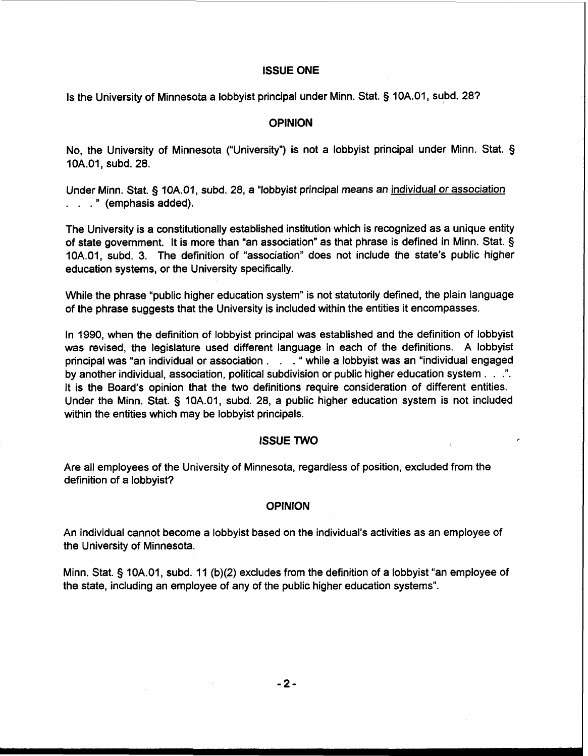## **ISSUE ONE**

Is the University of Minnesota a lobbyist principal under Minn. Stat. § 10A.01, subd. 28?

## **OPINION**

No, the University of Minnesota ("University") is not a lobbyist principal under Minn. Stat. § 10A.01, subd. 28.

Under Minn. Stat. § 10A.01, subd. 28, a "lobbyist principal means an individual or association . . . " (emphasis added).

The University is a constitutionally established institution which is recognized as a unique entity of state government. It is more than "an association" as that phrase is defined in Minn. Stat. § 10A.01, subd. 3. The definition of "association" does not include the state's public higher education systems, or the University specifically.

While the phrase "public higher education system" is not statutorily defined, the plain language of the phrase suggests that the University is included within the entities it encompasses.

In 1990, when the definition of lobbyist principal was established and the definition of lobbyist was revised, the legislature used different language in each of the definitions. A lobbyist principal was "an individual or association . . . " while a lobbyist was an "individual engaged by another individual, association, political subdivision or public higher education system . . .". It is the Board's opinion that the two definitions require consideration of different entities. Under the Minn. Stat. § 10A.01, subd. 28, a public higher education system is not included within the entities which may be lobbyist principals.

## **ISSUE TWO**

Are all employees of the University of Minnesota, regardless of position, excluded from the definition of a lobbyist?

## **OPINION**

An individual cannot become a lobbyist based on the individual's activities as an employee of the University of Minnesota.

Minn. Stat. § 10A.01, subd. 11 (b)(2) excludes from the definition of a lobbyist "an employee of the state, including an employee of any of the public higher education systems".